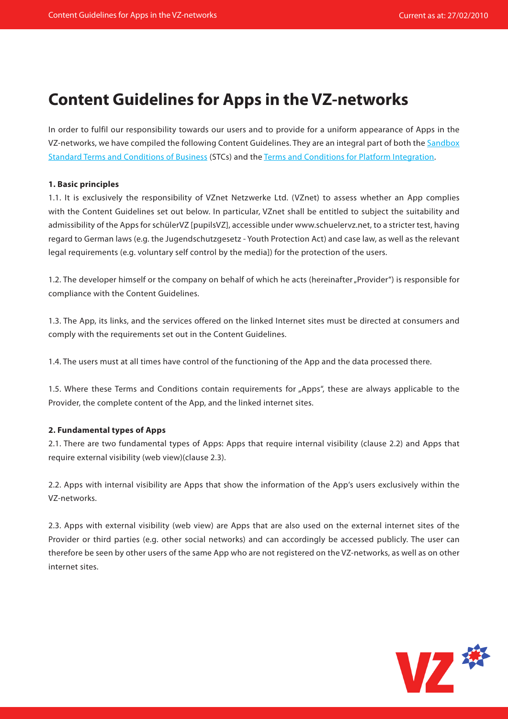# **Content Guidelines for Apps in the VZ-networks**

In order to fulfil our responsibility towards our users and to provide for a uniform appearance of Apps in the VZ-networks, we have compiled the following Content Guidelines. They are an integral part of both the Sandbox Standard Terms and [Conditions of Business](http://developer.studivz.net/wiki/images/3/3a/Sandbox_TC_en.pdf) (STCs) and the [Terms and Conditions for Platform Integration](http://developer.studivz.net/wiki/images/4/48/App_TC_en.pdf).

#### **1. Basic principles**

1.1. It is exclusively the responsibility of VZnet Netzwerke Ltd. (VZnet) to assess whether an App complies with the Content Guidelines set out below. In particular, VZnet shall be entitled to subject the suitability and admissibility of the Apps for schülerVZ [pupilsVZ], accessible under www.schuelervz.net, to a stricter test, having regard to German laws (e.g. the Jugendschutzgesetz - Youth Protection Act) and case law, as well as the relevant legal requirements (e.g. voluntary self control by the media]) for the protection of the users.

1.2. The developer himself or the company on behalf of which he acts (hereinafter "Provider") is responsible for compliance with the Content Guidelines.

1.3. The App, its links, and the services offered on the linked Internet sites must be directed at consumers and comply with the requirements set out in the Content Guidelines.

1.4. The users must at all times have control of the functioning of the App and the data processed there.

1.5. Where these Terms and Conditions contain requirements for "Apps", these are always applicable to the Provider, the complete content of the App, and the linked internet sites.

## **2. Fundamental types of Apps**

2.1. There are two fundamental types of Apps: Apps that require internal visibility (clause 2.2) and Apps that require external visibility (web view)(clause 2.3).

2.2. Apps with internal visibility are Apps that show the information of the App's users exclusively within the VZ-networks.

2.3. Apps with external visibility (web view) are Apps that are also used on the external internet sites of the Provider or third parties (e.g. other social networks) and can accordingly be accessed publicly. The user can therefore be seen by other users of the same App who are not registered on the VZ-networks, as well as on other internet sites.

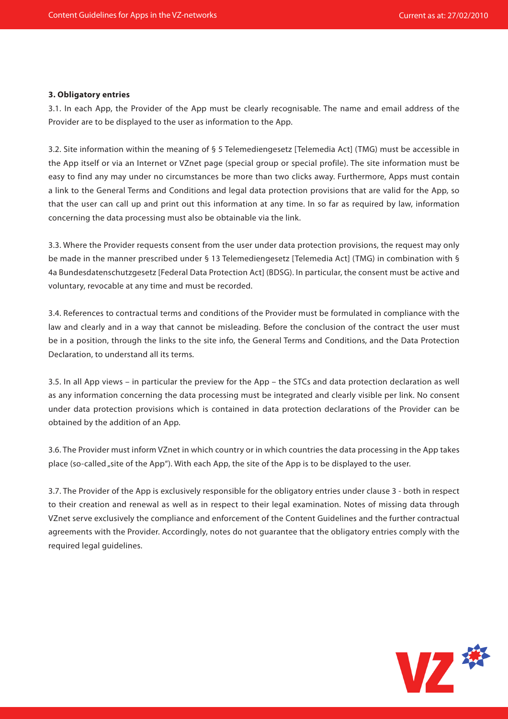## **3. Obligatory entries**

3.1. In each App, the Provider of the App must be clearly recognisable. The name and email address of the Provider are to be displayed to the user as information to the App.

3.2. Site information within the meaning of § 5 Telemediengesetz [Telemedia Act] (TMG) must be accessible in the App itself or via an Internet or VZnet page (special group or special profile). The site information must be easy to find any may under no circumstances be more than two clicks away. Furthermore, Apps must contain a link to the General Terms and Conditions and legal data protection provisions that are valid for the App, so that the user can call up and print out this information at any time. In so far as required by law, information concerning the data processing must also be obtainable via the link.

3.3. Where the Provider requests consent from the user under data protection provisions, the request may only be made in the manner prescribed under § 13 Telemediengesetz [Telemedia Act] (TMG) in combination with § 4a Bundesdatenschutzgesetz [Federal Data Protection Act] (BDSG). In particular, the consent must be active and voluntary, revocable at any time and must be recorded.

3.4. References to contractual terms and conditions of the Provider must be formulated in compliance with the law and clearly and in a way that cannot be misleading. Before the conclusion of the contract the user must be in a position, through the links to the site info, the General Terms and Conditions, and the Data Protection Declaration, to understand all its terms.

3.5. In all App views – in particular the preview for the App – the STCs and data protection declaration as well as any information concerning the data processing must be integrated and clearly visible per link. No consent under data protection provisions which is contained in data protection declarations of the Provider can be obtained by the addition of an App.

3.6. The Provider must inform VZnet in which country or in which countries the data processing in the App takes place (so-called "site of the App"). With each App, the site of the App is to be displayed to the user.

3.7. The Provider of the App is exclusively responsible for the obligatory entries under clause 3 - both in respect to their creation and renewal as well as in respect to their legal examination. Notes of missing data through VZnet serve exclusively the compliance and enforcement of the Content Guidelines and the further contractual agreements with the Provider. Accordingly, notes do not guarantee that the obligatory entries comply with the required legal guidelines.

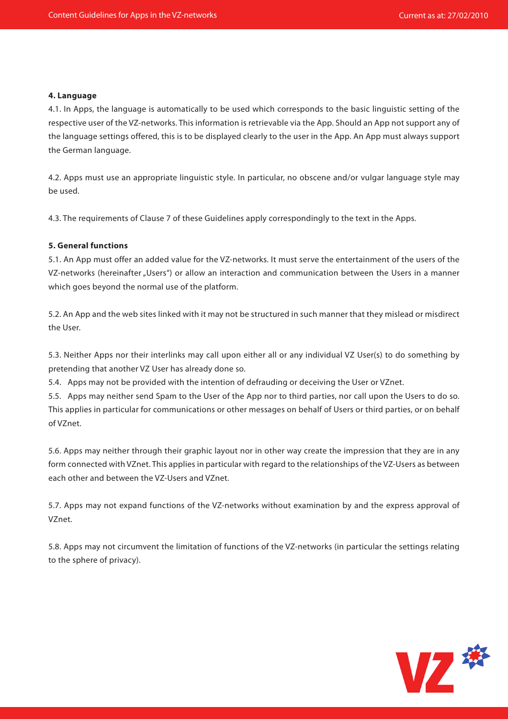#### **4. Language**

4.1. In Apps, the language is automatically to be used which corresponds to the basic linguistic setting of the respective user of the VZ-networks. This information is retrievable via the App. Should an App not support any of the language settings offered, this is to be displayed clearly to the user in the App. An App must always support the German language.

4.2. Apps must use an appropriate linguistic style. In particular, no obscene and/or vulgar language style may be used.

4.3. The requirements of Clause 7 of these Guidelines apply correspondingly to the text in the Apps.

#### **5. General functions**

5.1. An App must offer an added value for the VZ-networks. It must serve the entertainment of the users of the VZ-networks (hereinafter "Users") or allow an interaction and communication between the Users in a manner which goes beyond the normal use of the platform.

5.2. An App and the web sites linked with it may not be structured in such manner that they mislead or misdirect the User.

5.3. Neither Apps nor their interlinks may call upon either all or any individual VZ User(s) to do something by pretending that another VZ User has already done so.

5.4. Apps may not be provided with the intention of defrauding or deceiving the User or VZnet.

5.5. Apps may neither send Spam to the User of the App nor to third parties, nor call upon the Users to do so. This applies in particular for communications or other messages on behalf of Users or third parties, or on behalf of VZnet.

5.6. Apps may neither through their graphic layout nor in other way create the impression that they are in any form connected with VZnet. This applies in particular with regard to the relationships of the VZ-Users as between each other and between the VZ-Users and VZnet.

5.7. Apps may not expand functions of the VZ-networks without examination by and the express approval of VZnet.

5.8. Apps may not circumvent the limitation of functions of the VZ-networks (in particular the settings relating to the sphere of privacy).

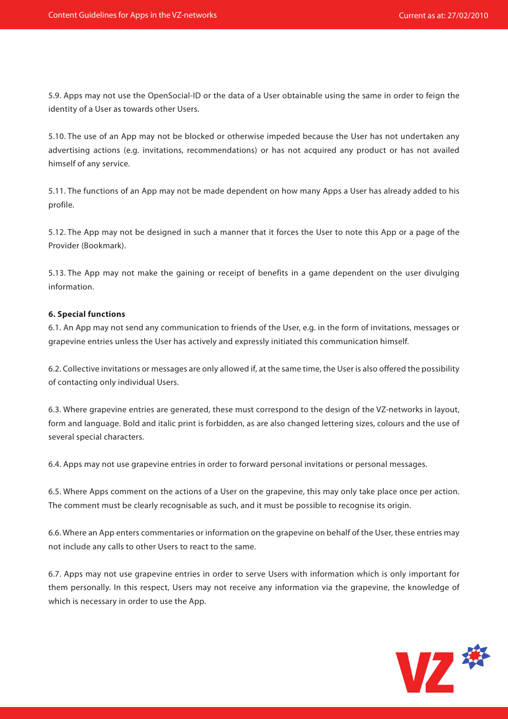5.9. Apps may not use the OpenSocial-ID or the data of a User obtainable using the same in order to feign the identity of a User as towards other Users.

5.10. The use of an App may not be blocked or otherwise impeded because the User has not undertaken any advertising actions (e.g. invitations, recommendations) or has not acquired any product or has not availed himself of any service.

5.11. The functions of an App may not be made dependent on how many Apps a User has already added to his profile.

5.12. The App may not be designed in such a manner that it forces the User to note this App or a page of the Provider (Bookmark).

5.13. The App may not make the gaining or receipt of benefits in a game dependent on the user divulging information.

#### **6. Special functions**

6.1. An App may not send any communication to friends of the User, e.g. in the form of invitations, messages or grapevine entries unless the User has actively and expressly initiated this communication himself.

6.2. Collective invitations or messages are only allowed if, at the same time, the User is also offered the possibility of contacting only individual Users.

6.3. Where grapevine entries are generated, these must correspond to the design of the VZ-networks in layout, form and language. Bold and italic print is forbidden, as are also changed lettering sizes, colours and the use of several special characters.

6.4. Apps may not use grapevine entries in order to forward personal invitations or personal messages.

6.5. Where Apps comment on the actions of a User on the grapevine, this may only take place once per action. The comment must be clearly recognisable as such, and it must be possible to recognise its origin.

6.6. Where an App enters commentaries or information on the grapevine on behalf of the User, these entries may not include any calls to other Users to react to the same.

6.7. Apps may not use grapevine entries in order to serve Users with information which is only important for them personally. In this respect, Users may not receive any information via the grapevine, the knowledge of which is necessary in order to use the App.

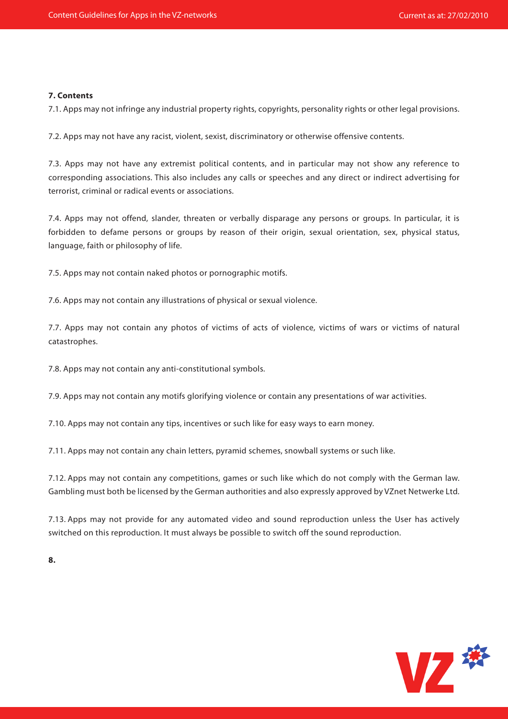#### **7. Contents**

7.1. Apps may not infringe any industrial property rights, copyrights, personality rights or other legal provisions.

7.2. Apps may not have any racist, violent, sexist, discriminatory or otherwise offensive contents.

7.3. Apps may not have any extremist political contents, and in particular may not show any reference to corresponding associations. This also includes any calls or speeches and any direct or indirect advertising for terrorist, criminal or radical events or associations.

7.4. Apps may not offend, slander, threaten or verbally disparage any persons or groups. In particular, it is forbidden to defame persons or groups by reason of their origin, sexual orientation, sex, physical status, language, faith or philosophy of life.

7.5. Apps may not contain naked photos or pornographic motifs.

7.6. Apps may not contain any illustrations of physical or sexual violence.

7.7. Apps may not contain any photos of victims of acts of violence, victims of wars or victims of natural catastrophes.

7.8. Apps may not contain any anti-constitutional symbols.

7.9. Apps may not contain any motifs glorifying violence or contain any presentations of war activities.

7.10. Apps may not contain any tips, incentives or such like for easy ways to earn money.

7.11. Apps may not contain any chain letters, pyramid schemes, snowball systems or such like.

7.12. Apps may not contain any competitions, games or such like which do not comply with the German law. Gambling must both be licensed by the German authorities and also expressly approved by VZnet Netwerke Ltd.

7.13. Apps may not provide for any automated video and sound reproduction unless the User has actively switched on this reproduction. It must always be possible to switch off the sound reproduction.

**8.** 

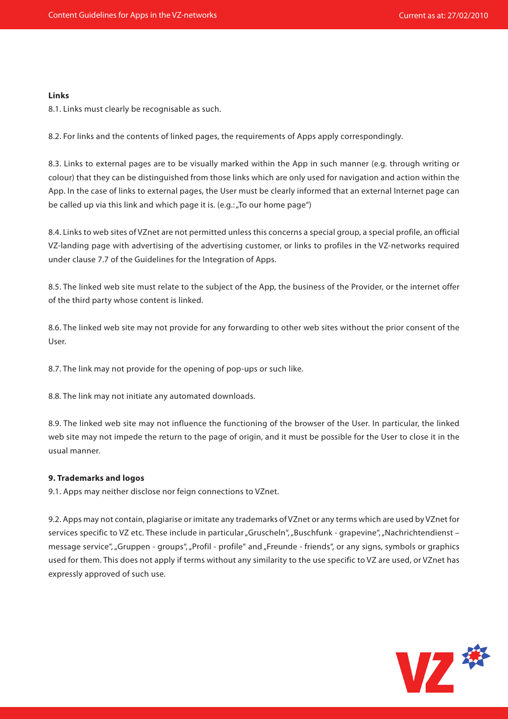#### **Links**

8.1. Links must clearly be recognisable as such.

8.2. For links and the contents of linked pages, the requirements of Apps apply correspondingly.

8.3. Links to external pages are to be visually marked within the App in such manner (e.g. through writing or colour) that they can be distinguished from those links which are only used for navigation and action within the App. In the case of links to external pages, the User must be clearly informed that an external Internet page can be called up via this link and which page it is. (e.g.: "To our home page")

8.4. Links to web sites of VZnet are not permitted unless this concerns a special group, a special profile, an official VZ-landing page with advertising of the advertising customer, or links to profiles in the VZ-networks required under clause 7.7 of the Guidelines for the Integration of Apps.

8.5. The linked web site must relate to the subject of the App, the business of the Provider, or the internet offer of the third party whose content is linked.

8.6. The linked web site may not provide for any forwarding to other web sites without the prior consent of the User.

8.7. The link may not provide for the opening of pop-ups or such like.

8.8. The link may not initiate any automated downloads.

8.9. The linked web site may not influence the functioning of the browser of the User. In particular, the linked web site may not impede the return to the page of origin, and it must be possible for the User to close it in the usual manner.

## **9. Trademarks and logos**

9.1. Apps may neither disclose nor feign connections to VZnet.

9.2. Apps may not contain, plagiarise or imitate any trademarks of VZnet or any terms which are used by VZnet for services specific to VZ etc. These include in particular "Gruscheln", "Buschfunk - grapevine", "Nachrichtendienst – message service", "Gruppen - groups", "Profil - profile" and "Freunde - friends", or any signs, symbols or graphics used for them. This does not apply if terms without any similarity to the use specific to VZ are used, or VZnet has expressly approved of such use.